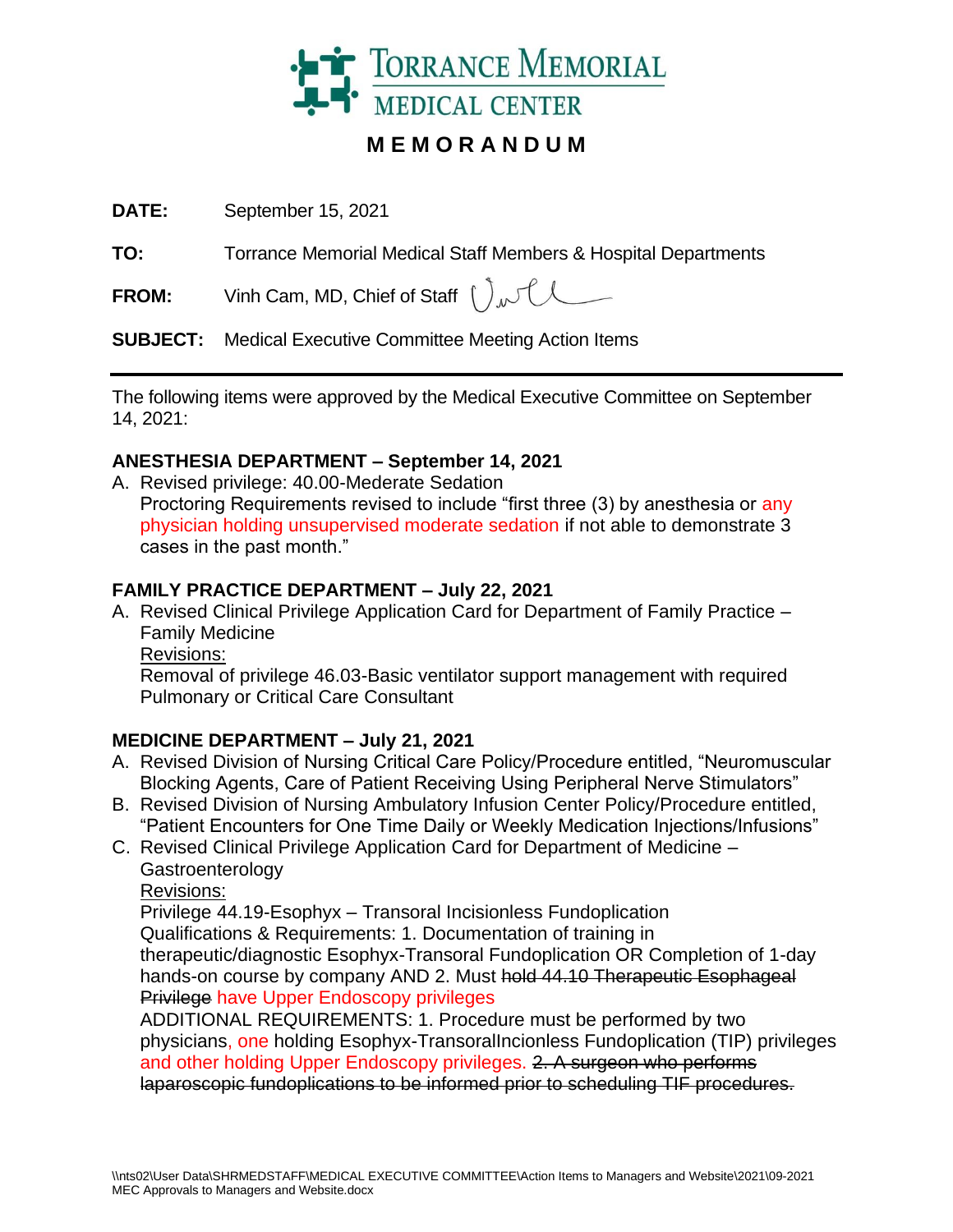

# **M E M O R A N D U M**

**DATE:** September 15, 2021

**TO:** Torrance Memorial Medical Staff Members & Hospital Departments

**FROM:** Vinh Cam, MD, Chief of Staff  $\int_{\Lambda}$ 

**SUBJECT:** Medical Executive Committee Meeting Action Items

The following items were approved by the Medical Executive Committee on September 14, 2021:

## **ANESTHESIA DEPARTMENT – September 14, 2021**

A. Revised privilege: 40.00-Mederate Sedation Proctoring Requirements revised to include "first three (3) by anesthesia or any physician holding unsupervised moderate sedation if not able to demonstrate 3 cases in the past month."

## **FAMILY PRACTICE DEPARTMENT – July 22, 2021**

A. Revised Clinical Privilege Application Card for Department of Family Practice – Family Medicine

Revisions:

Removal of privilege 46.03-Basic ventilator support management with required Pulmonary or Critical Care Consultant

### **MEDICINE DEPARTMENT – July 21, 2021**

- A. Revised Division of Nursing Critical Care Policy/Procedure entitled, "Neuromuscular Blocking Agents, Care of Patient Receiving Using Peripheral Nerve Stimulators"
- B. Revised Division of Nursing Ambulatory Infusion Center Policy/Procedure entitled, "Patient Encounters for One Time Daily or Weekly Medication Injections/Infusions"
- C. Revised Clinical Privilege Application Card for Department of Medicine **Gastroenterology** 
	- Revisions:

Privilege 44.19-Esophyx – Transoral Incisionless Fundoplication Qualifications & Requirements: 1. Documentation of training in therapeutic/diagnostic Esophyx-Transoral Fundoplication OR Completion of 1-day hands-on course by company AND 2. Must hold 44.10 Therapeutic Esophageal Privilege have Upper Endoscopy privileges

ADDITIONAL REQUIREMENTS: 1. Procedure must be performed by two physicians, one holding Esophyx-TransoralIncionless Fundoplication (TIP) privileges and other holding Upper Endoscopy privileges. 2. A surgeon who performs laparoscopic fundoplications to be informed prior to scheduling TIF procedures.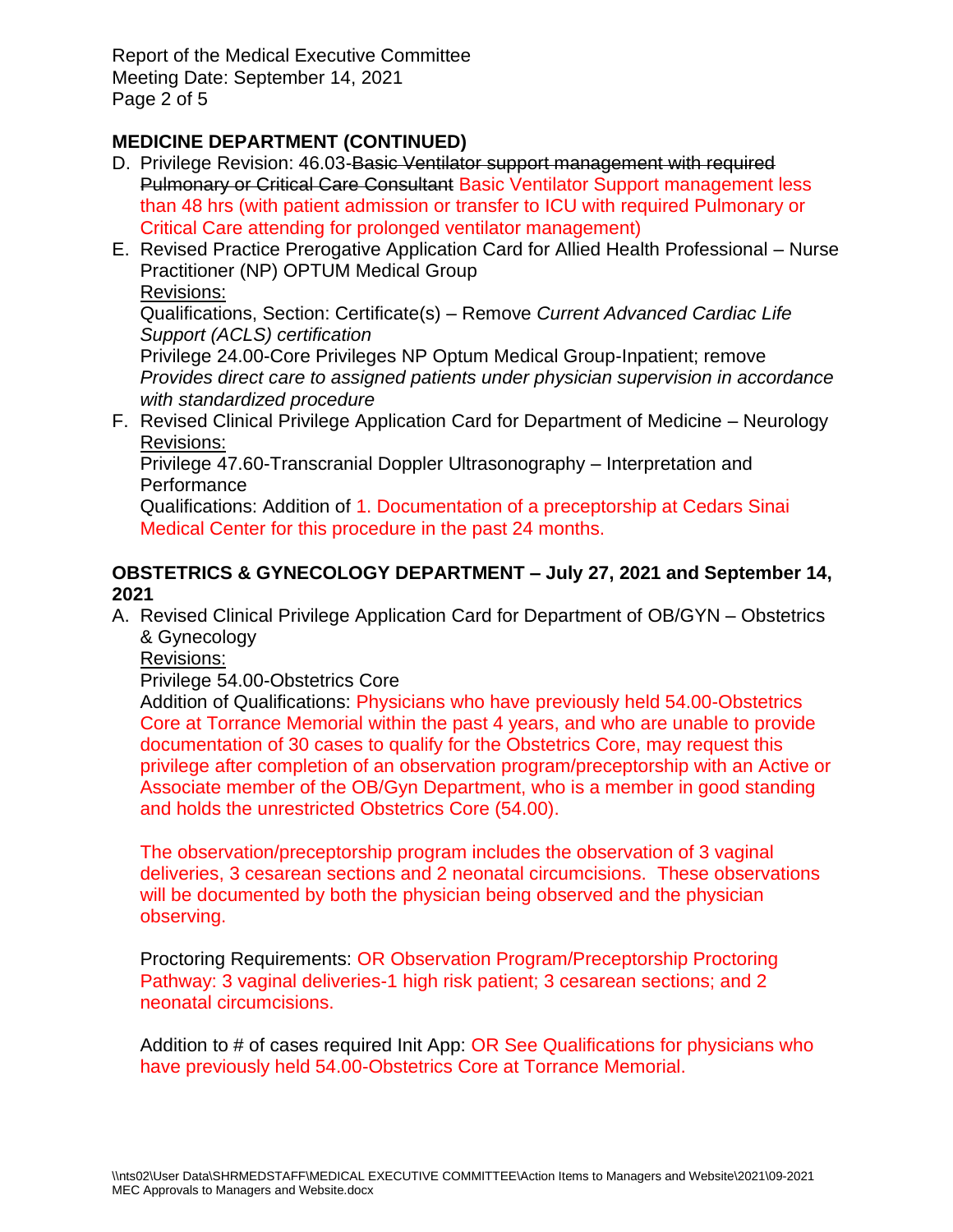Report of the Medical Executive Committee Meeting Date: September 14, 2021 Page 2 of 5

## **MEDICINE DEPARTMENT (CONTINUED)**

- D. Privilege Revision: 46.03-Basic Ventilator support management with required Pulmonary or Critical Care Consultant Basic Ventilator Support management less than 48 hrs (with patient admission or transfer to ICU with required Pulmonary or Critical Care attending for prolonged ventilator management)
- E. Revised Practice Prerogative Application Card for Allied Health Professional Nurse Practitioner (NP) OPTUM Medical Group

#### Revisions:

Qualifications, Section: Certificate(s) – Remove *Current Advanced Cardiac Life Support (ACLS) certification*

Privilege 24.00-Core Privileges NP Optum Medical Group-Inpatient; remove *Provides direct care to assigned patients under physician supervision in accordance with standardized procedure*

F. Revised Clinical Privilege Application Card for Department of Medicine – Neurology Revisions:

Privilege 47.60-Transcranial Doppler Ultrasonography – Interpretation and **Performance** 

Qualifications: Addition of 1. Documentation of a preceptorship at Cedars Sinai Medical Center for this procedure in the past 24 months.

### **OBSTETRICS & GYNECOLOGY DEPARTMENT – July 27, 2021 and September 14, 2021**

A. Revised Clinical Privilege Application Card for Department of OB/GYN – Obstetrics & Gynecology

Revisions:

### Privilege 54.00-Obstetrics Core

Addition of Qualifications: Physicians who have previously held 54.00-Obstetrics Core at Torrance Memorial within the past 4 years, and who are unable to provide documentation of 30 cases to qualify for the Obstetrics Core, may request this privilege after completion of an observation program/preceptorship with an Active or Associate member of the OB/Gyn Department, who is a member in good standing and holds the unrestricted Obstetrics Core (54.00).

The observation/preceptorship program includes the observation of 3 vaginal deliveries, 3 cesarean sections and 2 neonatal circumcisions. These observations will be documented by both the physician being observed and the physician observing.

Proctoring Requirements: OR Observation Program/Preceptorship Proctoring Pathway: 3 vaginal deliveries-1 high risk patient; 3 cesarean sections; and 2 neonatal circumcisions.

Addition to # of cases required Init App: OR See Qualifications for physicians who have previously held 54.00-Obstetrics Core at Torrance Memorial.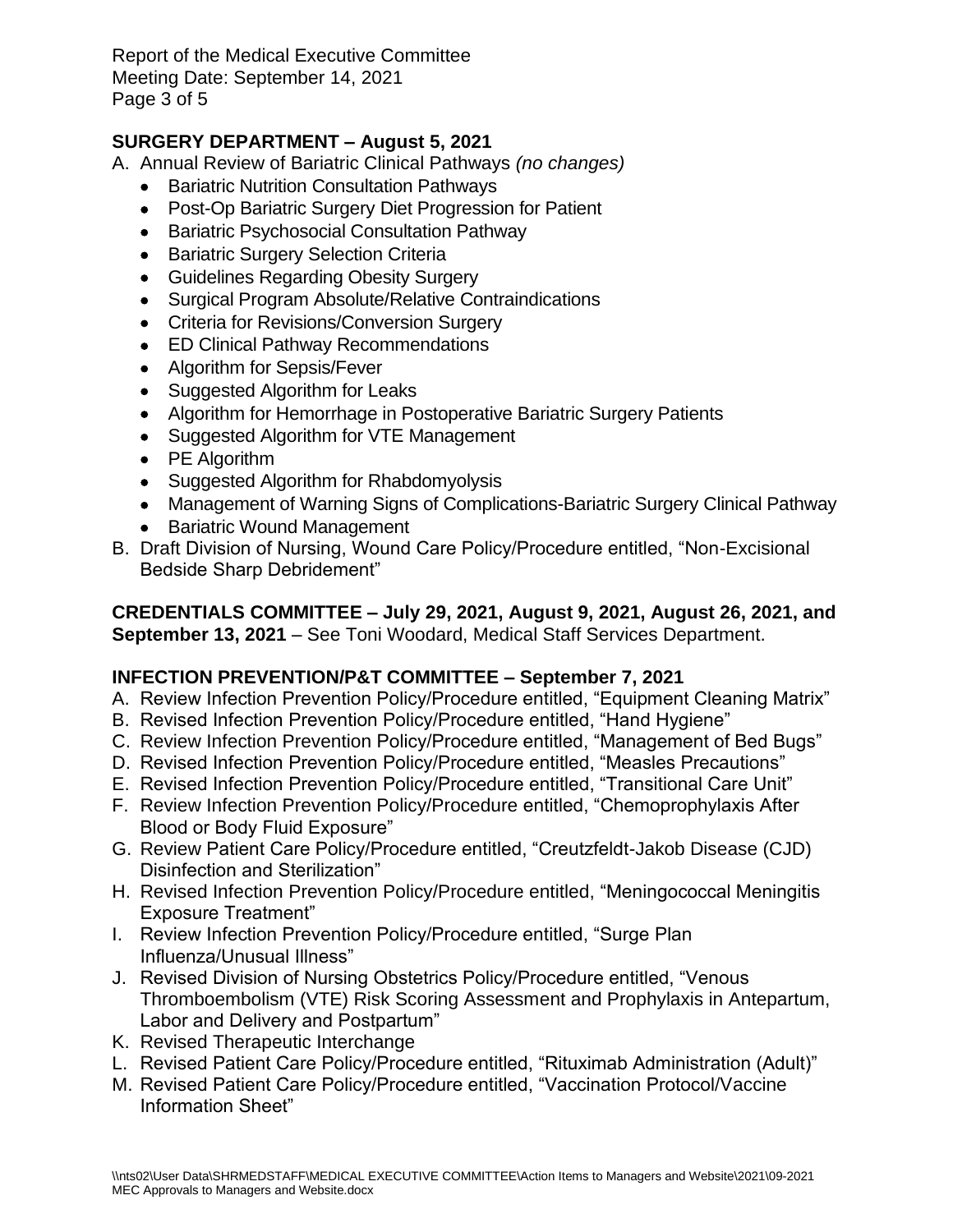Report of the Medical Executive Committee Meeting Date: September 14, 2021 Page 3 of 5

## **SURGERY DEPARTMENT – August 5, 2021**

- A. Annual Review of Bariatric Clinical Pathways *(no changes)*
	- Bariatric Nutrition Consultation Pathways
	- Post-Op Bariatric Surgery Diet Progression for Patient
	- Bariatric Psychosocial Consultation Pathway
	- Bariatric Surgery Selection Criteria
	- Guidelines Regarding Obesity Surgery
	- Surgical Program Absolute/Relative Contraindications
	- Criteria for Revisions/Conversion Surgery
	- ED Clinical Pathway Recommendations
	- Algorithm for Sepsis/Fever
	- Suggested Algorithm for Leaks
	- Algorithm for Hemorrhage in Postoperative Bariatric Surgery Patients
	- Suggested Algorithm for VTE Management
	- PE Algorithm
	- Suggested Algorithm for Rhabdomyolysis
	- Management of Warning Signs of Complications-Bariatric Surgery Clinical Pathway
	- Bariatric Wound Management
- B. Draft Division of Nursing, Wound Care Policy/Procedure entitled, "Non-Excisional Bedside Sharp Debridement"

#### **CREDENTIALS COMMITTEE – July 29, 2021, August 9, 2021, August 26, 2021, and September 13, 2021** – See Toni Woodard, Medical Staff Services Department.

## **INFECTION PREVENTION/P&T COMMITTEE – September 7, 2021**

- A. Review Infection Prevention Policy/Procedure entitled, "Equipment Cleaning Matrix"
- B. Revised Infection Prevention Policy/Procedure entitled, "Hand Hygiene"
- C. Review Infection Prevention Policy/Procedure entitled, "Management of Bed Bugs"
- D. Revised Infection Prevention Policy/Procedure entitled, "Measles Precautions"
- E. Revised Infection Prevention Policy/Procedure entitled, "Transitional Care Unit"
- F. Review Infection Prevention Policy/Procedure entitled, "Chemoprophylaxis After Blood or Body Fluid Exposure"
- G. Review Patient Care Policy/Procedure entitled, "Creutzfeldt-Jakob Disease (CJD) Disinfection and Sterilization"
- H. Revised Infection Prevention Policy/Procedure entitled, "Meningococcal Meningitis Exposure Treatment"
- I. Review Infection Prevention Policy/Procedure entitled, "Surge Plan Influenza/Unusual Illness"
- J. Revised Division of Nursing Obstetrics Policy/Procedure entitled, "Venous Thromboembolism (VTE) Risk Scoring Assessment and Prophylaxis in Antepartum, Labor and Delivery and Postpartum"
- K. Revised Therapeutic Interchange
- L. Revised Patient Care Policy/Procedure entitled, "Rituximab Administration (Adult)"
- M. Revised Patient Care Policy/Procedure entitled, "Vaccination Protocol/Vaccine Information Sheet"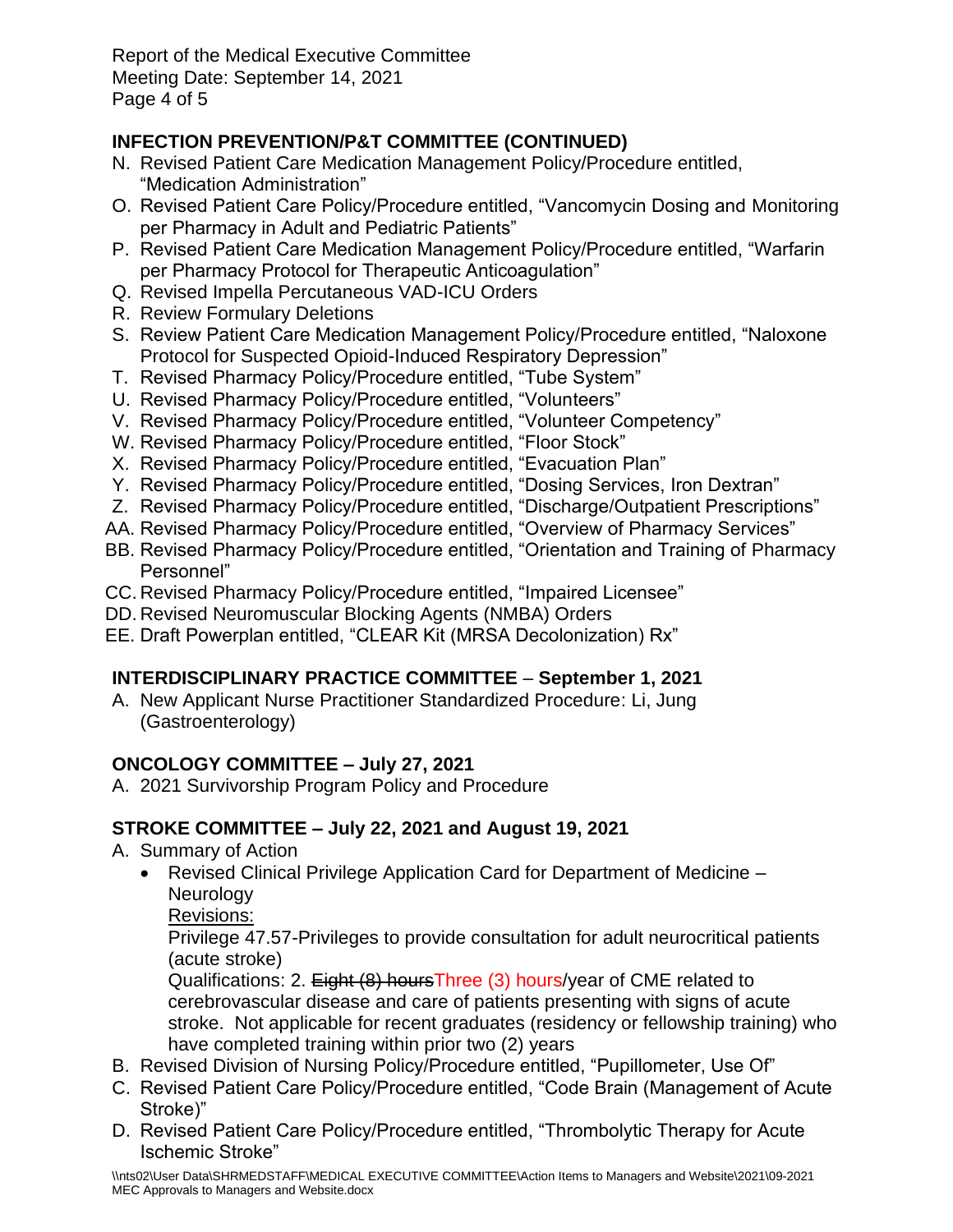Report of the Medical Executive Committee Meeting Date: September 14, 2021 Page 4 of 5

# **INFECTION PREVENTION/P&T COMMITTEE (CONTINUED)**

- N. Revised Patient Care Medication Management Policy/Procedure entitled, "Medication Administration"
- O. Revised Patient Care Policy/Procedure entitled, "Vancomycin Dosing and Monitoring per Pharmacy in Adult and Pediatric Patients"
- P. Revised Patient Care Medication Management Policy/Procedure entitled, "Warfarin per Pharmacy Protocol for Therapeutic Anticoagulation"
- Q. Revised Impella Percutaneous VAD-ICU Orders
- R. Review Formulary Deletions
- S. Review Patient Care Medication Management Policy/Procedure entitled, "Naloxone Protocol for Suspected Opioid-Induced Respiratory Depression"
- T. Revised Pharmacy Policy/Procedure entitled, "Tube System"
- U. Revised Pharmacy Policy/Procedure entitled, "Volunteers"
- V. Revised Pharmacy Policy/Procedure entitled, "Volunteer Competency"
- W. Revised Pharmacy Policy/Procedure entitled, "Floor Stock"
- X. Revised Pharmacy Policy/Procedure entitled, "Evacuation Plan"
- Y. Revised Pharmacy Policy/Procedure entitled, "Dosing Services, Iron Dextran"
- Z. Revised Pharmacy Policy/Procedure entitled, "Discharge/Outpatient Prescriptions"
- AA. Revised Pharmacy Policy/Procedure entitled, "Overview of Pharmacy Services"
- BB. Revised Pharmacy Policy/Procedure entitled, "Orientation and Training of Pharmacy Personnel"
- CC. Revised Pharmacy Policy/Procedure entitled, "Impaired Licensee"
- DD. Revised Neuromuscular Blocking Agents (NMBA) Orders
- EE. Draft Powerplan entitled, "CLEAR Kit (MRSA Decolonization) Rx"

# **INTERDISCIPLINARY PRACTICE COMMITTEE** – **September 1, 2021**

A. New Applicant Nurse Practitioner Standardized Procedure: Li, Jung (Gastroenterology)

# **ONCOLOGY COMMITTEE – July 27, 2021**

A. 2021 Survivorship Program Policy and Procedure

# **STROKE COMMITTEE – July 22, 2021 and August 19, 2021**

- A. Summary of Action
	- Revised Clinical Privilege Application Card for Department of Medicine **Neurology**

Revisions:

Privilege 47.57-Privileges to provide consultation for adult neurocritical patients (acute stroke)

Qualifications: 2. Eight (8) hoursThree (3) hours/year of CME related to cerebrovascular disease and care of patients presenting with signs of acute stroke. Not applicable for recent graduates (residency or fellowship training) who have completed training within prior two (2) years

- B. Revised Division of Nursing Policy/Procedure entitled, "Pupillometer, Use Of"
- C. Revised Patient Care Policy/Procedure entitled, "Code Brain (Management of Acute Stroke)"
- D. Revised Patient Care Policy/Procedure entitled, "Thrombolytic Therapy for Acute Ischemic Stroke"